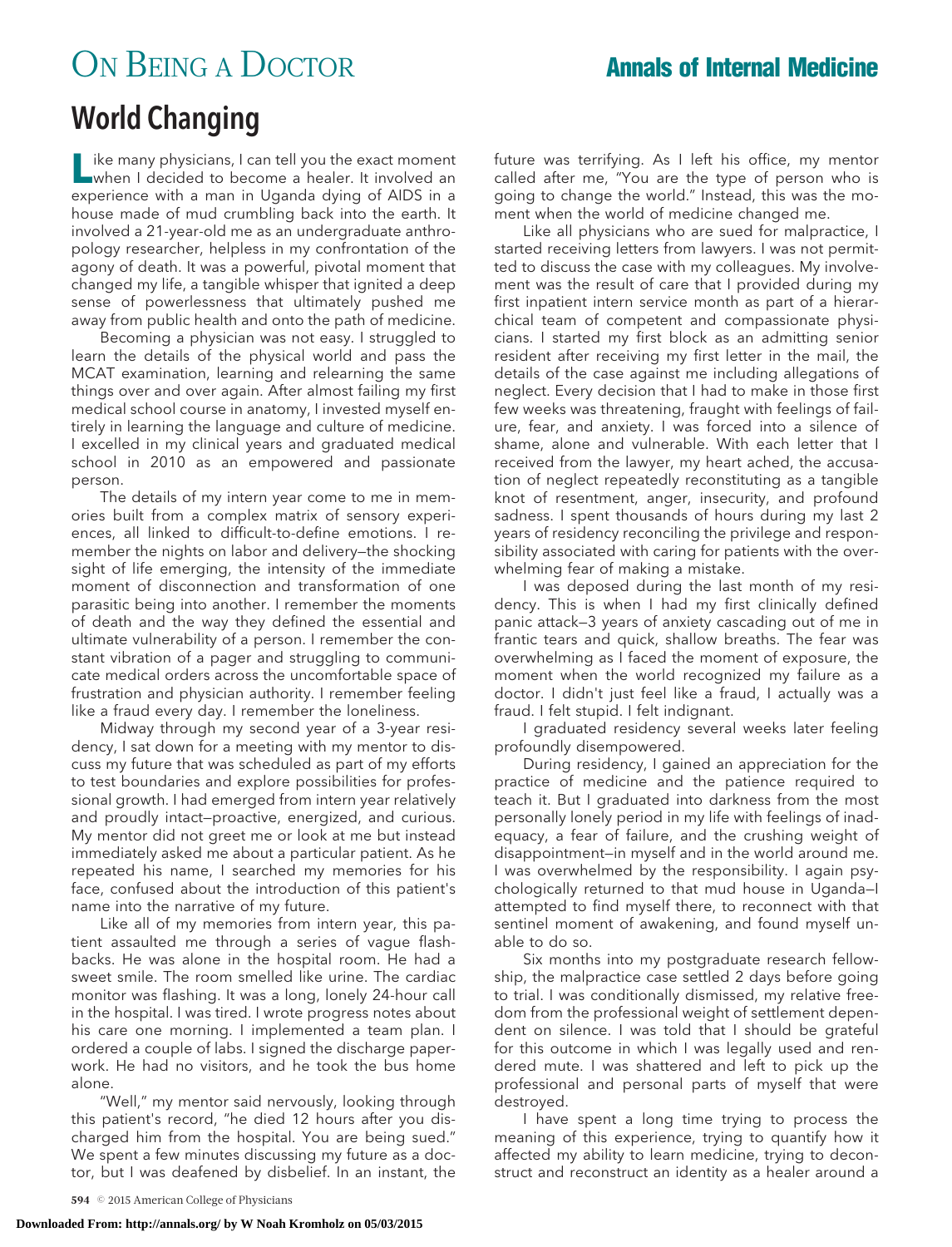## ON BEING A DOCTOR **Annals of Internal Medicine**

## World Changing

Like many physicians, I can tell you the exact moment<br>when I decided to become a healer. It involved an experience with a man in Uganda dying of AIDS in a house made of mud crumbling back into the earth. It involved a 21-year-old me as an undergraduate anthropology researcher, helpless in my confrontation of the agony of death. It was a powerful, pivotal moment that changed my life, a tangible whisper that ignited a deep sense of powerlessness that ultimately pushed me away from public health and onto the path of medicine.

Becoming a physician was not easy. I struggled to learn the details of the physical world and pass the MCAT examination, learning and relearning the same things over and over again. After almost failing my first medical school course in anatomy, I invested myself entirely in learning the language and culture of medicine. I excelled in my clinical years and graduated medical school in 2010 as an empowered and passionate person.

The details of my intern year come to me in memories built from a complex matrix of sensory experiences, all linked to difficult-to-define emotions. I remember the nights on labor and delivery—the shocking sight of life emerging, the intensity of the immediate moment of disconnection and transformation of one parasitic being into another. I remember the moments of death and the way they defined the essential and ultimate vulnerability of a person. I remember the constant vibration of a pager and struggling to communicate medical orders across the uncomfortable space of frustration and physician authority. I remember feeling like a fraud every day. I remember the loneliness.

Midway through my second year of a 3-year residency, I sat down for a meeting with my mentor to discuss my future that was scheduled as part of my efforts to test boundaries and explore possibilities for professional growth. I had emerged from intern year relatively and proudly intact—proactive, energized, and curious. My mentor did not greet me or look at me but instead immediately asked me about a particular patient. As he repeated his name, I searched my memories for his face, confused about the introduction of this patient's name into the narrative of my future.

Like all of my memories from intern year, this patient assaulted me through a series of vague flashbacks. He was alone in the hospital room. He had a sweet smile. The room smelled like urine. The cardiac monitor was flashing. It was a long, lonely 24-hour call in the hospital. I was tired. I wrote progress notes about his care one morning. I implemented a team plan. I ordered a couple of labs. I signed the discharge paperwork. He had no visitors, and he took the bus home alone.

"Well," my mentor said nervously, looking through this patient's record, "he died 12 hours after you discharged him from the hospital. You are being sued." We spent a few minutes discussing my future as a doctor, but I was deafened by disbelief. In an instant, the

future was terrifying. As I left his office, my mentor called after me, "You are the type of person who is going to change the world." Instead, this was the moment when the world of medicine changed me.

Like all physicians who are sued for malpractice, I started receiving letters from lawyers. I was not permitted to discuss the case with my colleagues. My involvement was the result of care that I provided during my first inpatient intern service month as part of a hierarchical team of competent and compassionate physicians. I started my first block as an admitting senior resident after receiving my first letter in the mail, the details of the case against me including allegations of neglect. Every decision that I had to make in those first few weeks was threatening, fraught with feelings of failure, fear, and anxiety. I was forced into a silence of shame, alone and vulnerable. With each letter that I received from the lawyer, my heart ached, the accusation of neglect repeatedly reconstituting as a tangible knot of resentment, anger, insecurity, and profound sadness. I spent thousands of hours during my last 2 years of residency reconciling the privilege and responsibility associated with caring for patients with the overwhelming fear of making a mistake.

I was deposed during the last month of my residency. This is when I had my first clinically defined panic attack—3 years of anxiety cascading out of me in frantic tears and quick, shallow breaths. The fear was overwhelming as I faced the moment of exposure, the moment when the world recognized my failure as a doctor. I didn't just feel like a fraud, I actually was a fraud. I felt stupid. I felt indignant.

I graduated residency several weeks later feeling profoundly disempowered.

During residency, I gained an appreciation for the practice of medicine and the patience required to teach it. But I graduated into darkness from the most personally lonely period in my life with feelings of inadequacy, a fear of failure, and the crushing weight of disappointment—in myself and in the world around me. I was overwhelmed by the responsibility. I again psychologically returned to that mud house in Uganda—I attempted to find myself there, to reconnect with that sentinel moment of awakening, and found myself unable to do so.

Six months into my postgraduate research fellowship, the malpractice case settled 2 days before going to trial. I was conditionally dismissed, my relative freedom from the professional weight of settlement dependent on silence. I was told that I should be grateful for this outcome in which I was legally used and rendered mute. I was shattered and left to pick up the professional and personal parts of myself that were destroyed.

I have spent a long time trying to process the meaning of this experience, trying to quantify how it affected my ability to learn medicine, trying to deconstruct and reconstruct an identity as a healer around a